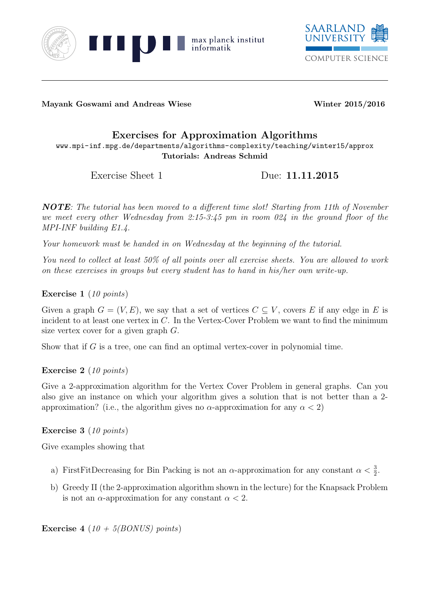



Mayank Goswami and Andreas Wiese Winter 2015/2016

## Exercises for Approximation Algorithms

www.mpi-inf.mpg.de/departments/algorithms-complexity/teaching/winter15/approx Tutorials: Andreas Schmid

Exercise Sheet 1 Due: 11.11.2015

NOTE: The tutorial has been moved to a different time slot! Starting from 11th of November we meet every other Wednesday from 2:15-3:45 pm in room 024 in the ground floor of the MPI-INF building E1.4.

Your homework must be handed in on Wednesday at the beginning of the tutorial.

You need to collect at least 50% of all points over all exercise sheets. You are allowed to work on these exercises in groups but every student has to hand in his/her own write-up.

Exercise 1 (10 points)

Given a graph  $G = (V, E)$ , we say that a set of vertices  $C \subseteq V$ , covers E if any edge in E is incident to at least one vertex in C. In the Vertex-Cover Problem we want to find the minimum size vertex cover for a given graph G.

Show that if G is a tree, one can find an optimal vertex-cover in polynomial time.

## Exercise 2 (10 points)

Give a 2-approximation algorithm for the Vertex Cover Problem in general graphs. Can you also give an instance on which your algorithm gives a solution that is not better than a 2 approximation? (i.e., the algorithm gives no  $\alpha$ -approximation for any  $\alpha < 2$ )

Exercise 3 (10 points)

Give examples showing that

- a) FirstFitDecreasing for Bin Packing is not an  $\alpha$ -approximation for any constant  $\alpha < \frac{3}{2}$ .
- b) Greedy II (the 2-approximation algorithm shown in the lecture) for the Knapsack Problem is not an  $\alpha$ -approximation for any constant  $\alpha < 2$ .

**Exercise 4** (10 + 5(BONUS) points)